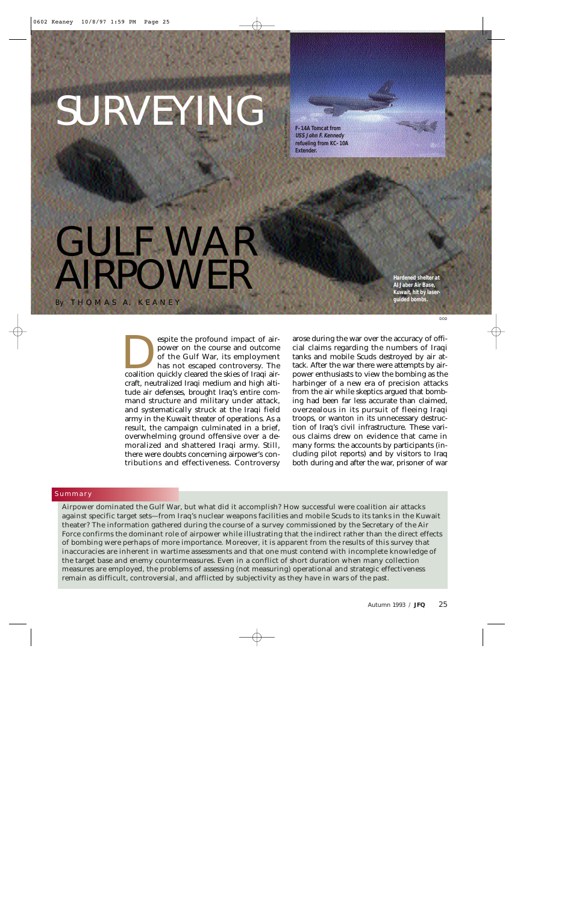# SURVEYING

GULF WAR

*By* T H O M A S A. K E A N E Y

POWER

**F–14A Tomcat from USS John F. Kennedy refueling from KC–10A Extender.**

U.S. Navy (Dave Parsons)

**Hardened shelter at Al Jaber Air Base, Kuwait, hit by laserguided bombs.**

DOD

espite the profound impact of air-<br>power on the course and outcome<br>of the Gulf War, its employment<br>has not escaped controversy. The<br>coalition quickly cleared the skies of Iraqi airpower on the course and outcome of the Gulf War, its employment has not escaped controversy. The craft, neutralized Iraqi medium and high altitude air defenses, brought Iraq's entire command structure and military under attack, and systematically struck at the Iraqi field army in the Kuwait theater of operations. As a result, the campaign culminated in a brief, overwhelming ground offensive over a demoralized and shattered Iraqi army. Still, there were doubts concerning airpower's contributions and effectiveness. Controversy

arose during the war over the accuracy of official claims regarding the numbers of Iraqi tanks and mobile Scuds destroyed by air attack. After the war there were attempts by airpower enthusiasts to view the bombing as the harbinger of a new era of precision attacks from the air while skeptics argued that bombing had been far less accurate than claimed, overzealous in its pursuit of fleeing Iraqi troops, or wanton in its unnecessary destruction of Iraq's civil infrastructure. These various claims drew on evidence that came in many forms: the accounts by participants (including pilot reports) and by visitors to Iraq both during and after the war, prisoner of war

# Summary

**Airpower dominated the Gulf War, but what did it accomplish? How successful were coalition air attacks against specific target sets—from Iraq's nuclear weapons facilities and mobile Scuds to its tanks in the Kuwait theater? The information gathered during the course of a survey commissioned by the Secretary of the Air Force confirms the dominant role of airpower while illustrating that the indirect rather than the direct effects of bombing were perhaps of more importance. Moreover, it is apparent from the results of this survey that inaccuracies are inherent in wartime assessments and that one must contend with incomplete knowledge of the target base and enemy countermeasures. Even in a conflict of short duration when many collection measures are employed, the problems of assessing (***not* **measuring) operational and strategic effectiveness remain as difficult, controversial, and afflicted by subjectivity as they have in wars of the past.**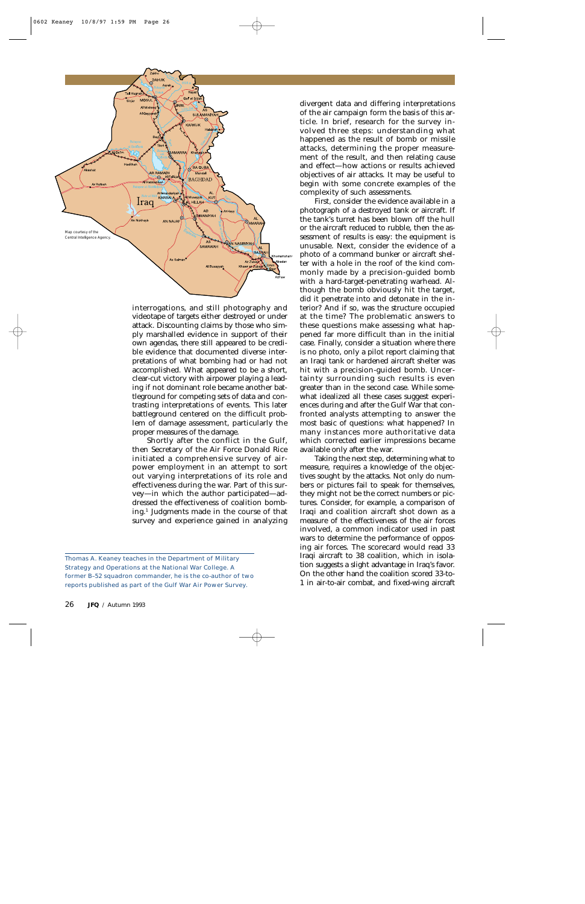

interrogations, and still photography and videotape of targets either destroyed or under attack. Discounting claims by those who simply marshalled evidence in support of their own agendas, there still appeared to be credible evidence that documented diverse interpretations of what bombing had or had not accomplished. What appeared to be a short, clear-cut victory with airpower playing a leading if not dominant role became another battleground for competing sets of data and contrasting interpretations of events. This later battleground centered on the difficult problem of damage assessment, particularly the proper measures of the damage.

Shortly after the conflict in the Gulf, then Secretary of the Air Force Donald Rice initiated a comprehensive survey of airpower employment in an attempt to sort out varying interpretations of its role and effectiveness during the war. Part of this survey—in which the author participated—addressed the effectiveness of coalition bombing.1 Judgments made in the course of that survey and experience gained in analyzing

divergent data and differing interpretations of the air campaign form the basis of this article. In brief, research for the survey involved three steps: understanding what happened as the result of bomb or missile attacks, determining the proper measurement of the result, and then relating cause and effect—how actions or results achieved objectives of air attacks. It may be useful to begin with some concrete examples of the complexity of such assessments.

First, consider the evidence available in a photograph of a destroyed tank or aircraft. If the tank's turret has been blown off the hull or the aircraft reduced to rubble, then the assessment of results is easy: the equipment is unusable. Next, consider the evidence of a photo of a command bunker or aircraft shelter with a hole in the roof of the kind commonly made by a precision-guided bomb with a hard-target-penetrating warhead. Although the bomb obviously hit the target, did it penetrate into and detonate in the interior? And if so, was the structure occupied at the time? The problematic answers to these questions make assessing what happened far more difficult than in the initial case. Finally, consider a situation where there is no photo, only a pilot report claiming that an Iraqi tank or hardened aircraft shelter was hit with a precision-guided bomb. Uncertainty surrounding such results is even greater than in the second case. While somewhat idealized all these cases suggest experiences during and after the Gulf War that confronted analysts attempting to answer the most basic of questions: what happened? In many instances more authoritative data which corrected earlier impressions became available only after the war.

Taking the next step, determining what to measure, requires a knowledge of the objectives sought by the attacks. Not only do numbers or pictures fail to speak for themselves, they might not be the correct numbers or pictures. Consider, for example, a comparison of Iraqi and coalition aircraft shot down as a measure of the effectiveness of the air forces involved, a common indicator used in past wars to determine the performance of opposing air forces. The scorecard would read 33 Iraqi aircraft to 38 coalition, which in isolation suggests a slight advantage in Iraq's favor. On the other hand the coalition scored 33-to-1 in air-to-air combat, and fixed-wing aircraft

Thomas A. Keaney teaches in the Department of Military Strategy and Operations at the National War College. A former B–52 squadron commander, he is the co-author of two reports published as part of the Gulf War Air Power Survey.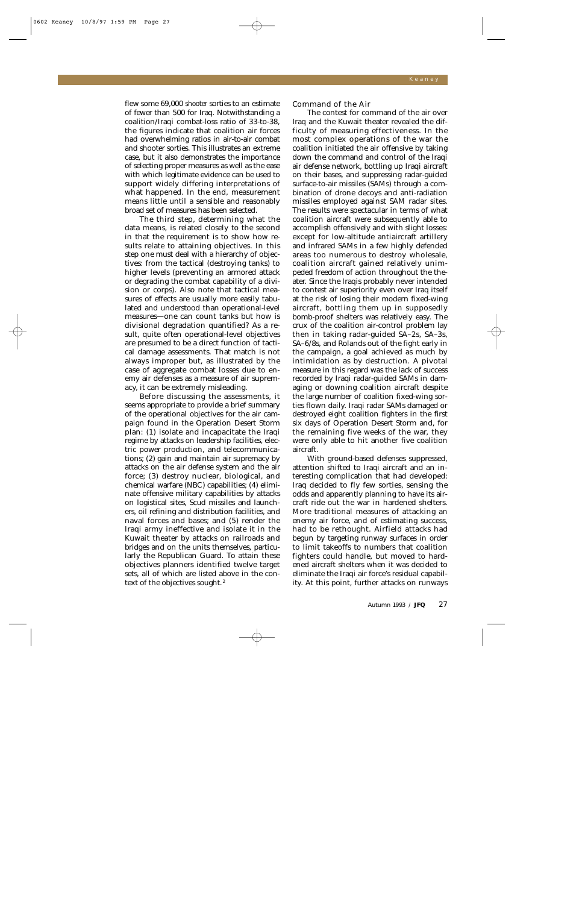flew some 69,000 *shooter* sorties to an estimate of fewer than 500 for Iraq. Notwithstanding a coalition/Iraqi combat-loss ratio of 33-to-38, the figures indicate that coalition air forces had overwhelming ratios in air-to-air combat and shooter sorties. This illustrates an extreme case, but it also demonstrates the importance of selecting proper measures as well as the ease with which legitimate evidence can be used to support widely differing interpretations of what happened. In the end, measurement means little until a sensible and reasonably broad set of measures has been selected.

The third step, determining what the data means, is related closely to the second in that the requirement is to show how results relate to attaining objectives. In this step one must deal with a hierarchy of objectives: from the tactical (destroying tanks) to higher levels (preventing an armored attack or degrading the combat capability of a division or corps). Also note that tactical measures of effects are usually more easily tabulated and understood than operational-level measures—one can count tanks but how is divisional degradation quantified? As a result, quite often operational-level objectives are presumed to be a direct function of tactical damage assessments. That match is not always improper but, as illustrated by the case of aggregate combat losses due to enemy air defenses as a measure of air supremacy, it can be extremely misleading.

Before discussing the assessments, it seems appropriate to provide a brief summary of the operational objectives for the air campaign found in the Operation Desert Storm plan: (1) isolate and incapacitate the Iraqi regime by attacks on leadership facilities, electric power production, and telecommunications; (2) gain and maintain air supremacy by attacks on the air defense system and the air force; (3) destroy nuclear, biological, and chemical warfare (NBC) capabilities; (4) eliminate offensive military capabilities by attacks on logistical sites, Scud missiles and launchers, oil refining and distribution facilities, and naval forces and bases; and (5) render the Iraqi army ineffective and isolate it in the Kuwait theater by attacks on railroads and bridges and on the units themselves, particularly the Republican Guard. To attain these objectives planners identified twelve target sets, all of which are listed above in the context of the objectives sought. <sup>2</sup>

Command of the Air

The contest for command of the air over Iraq and the Kuwait theater revealed the difficulty of measuring effectiveness. In the most complex operations of the war the coalition initiated the air offensive by taking down the command and control of the Iraqi air defense network, bottling up Iraqi aircraft on their bases, and suppressing radar-guided surface-to-air missiles (SAMs) through a combination of drone decoys and anti-radiation missiles employed against SAM radar sites. The results were spectacular in terms of what coalition aircraft were subsequently able to accomplish offensively and with slight losses: except for low-altitude antiaircraft artillery and infrared SAMs in a few highly defended areas too numerous to destroy wholesale, coalition aircraft gained relatively unimpeded freedom of action throughout the theater. Since the Iraqis probably never intended to contest air superiority even over Iraq itself at the risk of losing their modern fixed-wing aircraft, bottling them up in supposedly bomb-proof shelters was relatively easy. The crux of the coalition air-control problem lay then in taking radar-guided SA–2s, SA–3s, SA–6/8s, and Rolands out of the fight early in the campaign, a goal achieved as much by intimidation as by destruction. A pivotal measure in this regard was the lack of success recorded by Iraqi radar-guided SAMs in damaging or downing coalition aircraft despite the large number of coalition fixed-wing sorties flown daily. Iraqi radar SAMs damaged or destroyed eight coalition fighters in the first six days of Operation Desert Storm and, for the remaining five weeks of the war, they were only able to hit another five coalition aircraft.

With ground-based defenses suppressed, attention shifted to Iraqi aircraft and an interesting complication that had developed: Iraq decided to fly few sorties, sensing the odds and apparently planning to have its aircraft ride out the war in hardened shelters. More traditional measures of attacking an enemy air force, and of estimating success, had to be rethought. Airfield attacks had begun by targeting runway surfaces in order to limit takeoffs to numbers that coalition fighters could handle, but moved to hardened aircraft shelters when it was decided to eliminate the Iraqi air force's residual capability. At this point, further attacks on runways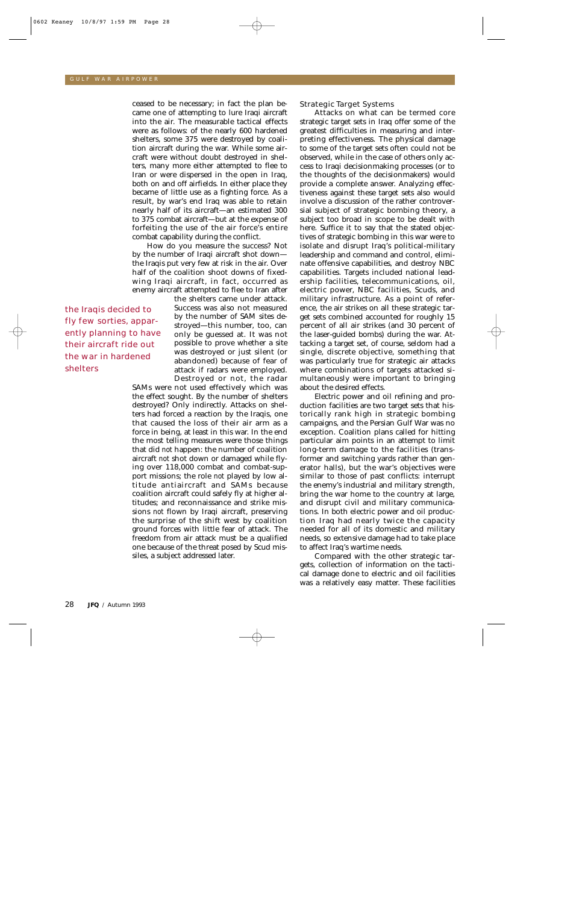ceased to be necessary; in fact the plan became one of attempting to lure Iraqi aircraft into the air. The measurable tactical effects were as follows: of the nearly 600 hardened shelters, some 375 were destroyed by coalition aircraft during the war. While some aircraft were without doubt destroyed in shelters, many more either attempted to flee to Iran or were dispersed in the open in Iraq, both on and off airfields. In either place they became of little use as a fighting force. As a result, by war's end Iraq was able to retain nearly half of its aircraft—an estimated 300 to 375 combat aircraft—but at the expense of forfeiting the use of the air force's entire combat capability during the conflict.

How do you measure the success? Not by the number of Iraqi aircraft shot down the Iraqis put very few at risk in the air. Over half of the coalition shoot downs of fixedwing Iraqi aircraft, in fact, occurred as enemy aircraft attempted to flee to Iran after

the Iraqis decided to fly few sorties, apparently planning to have their aircraft ride out the war in hardened shelters

the shelters came under attack. Success was also not measured by the number of SAM sites destroyed—this number, too, can only be guessed at. It was not possible to prove whether a site was destroyed or just silent (or abandoned) because of fear of attack if radars were employed. Destroyed or not, the radar

SAMs were not used effectively which was the effect sought. By the number of shelters destroyed? Only indirectly. Attacks on shelters had forced a reaction by the Iraqis, one that caused the loss of their air arm as a force in being, at least in this war. In the end the most telling measures were those things that did *not* happen: the number of coalition aircraft *not* shot down or damaged while flying over 118,000 combat and combat-support missions; the role *not* played by low altitude antiaircraft and SAMs because coalition aircraft could safely fly at higher altitudes; and reconnaissance and strike missions *not* flown by Iraqi aircraft, preserving the surprise of the shift west by coalition ground forces with little fear of attack. The freedom from air attack must be a qualified one because of the threat posed by Scud missiles, a subject addressed later.

Strategic Target Systems

Attacks on what can be termed core strategic target sets in Iraq offer some of the greatest difficulties in measuring and interpreting effectiveness. The physical damage to some of the target sets often could not be observed, while in the case of others only access to Iraqi decisionmaking processes (or to the thoughts of the decisionmakers) would provide a complete answer. Analyzing effectiveness against these target sets also would involve a discussion of the rather controversial subject of strategic bombing theory, a subject too broad in scope to be dealt with here. Suffice it to say that the stated objectives of strategic bombing in this war were to isolate and disrupt Iraq's political-military leadership and command and control, eliminate offensive capabilities, and destroy NBC capabilities. Targets included national leadership facilities, telecommunications, oil, electric power, NBC facilities, Scuds, and military infrastructure. As a point of reference, the air strikes on all these strategic target sets combined accounted for roughly 15 percent of all air strikes (and 30 percent of the laser-guided bombs) during the war. Attacking a target set, of course, seldom had a single, discrete objective, something that was particularly true for strategic air attacks where combinations of targets attacked simultaneously were important to bringing about the desired effects.

Electric power and oil refining and production facilities are two target sets that historically rank high in strategic bombing campaigns, and the Persian Gulf War was no exception. Coalition plans called for hitting particular aim points in an attempt to limit long-term damage to the facilities (transformer and switching yards rather than generator halls), but the war's objectives were similar to those of past conflicts: interrupt the enemy's industrial and military strength, bring the war home to the country at large, and disrupt civil and military communications. In both electric power and oil production Iraq had nearly twice the capacity needed for all of its domestic and military needs, so extensive damage had to take place to affect Iraq's wartime needs.

Compared with the other strategic targets, collection of information on the tactical damage done to electric and oil facilities was a relatively easy matter. These facilities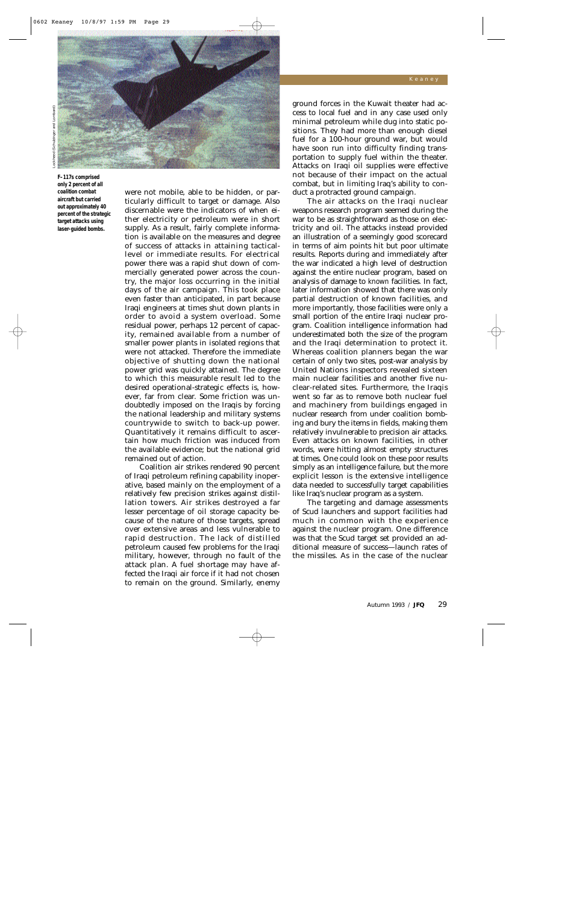

**F–117s comprised only 2 percent of all coalition combat aircraft but carried out approximately 40 percent of the strategic target attacks using laser-guided bombs.**

were not mobile, able to be hidden, or particularly difficult to target or damage. Also discernable were the indicators of when either electricity or petroleum were in short supply. As a result, fairly complete information is available on the measures and degree of success of attacks in attaining tacticallevel or immediate results. For electrical power there was a rapid shut down of commercially generated power across the country, the major loss occurring in the initial days of the air campaign. This took place even faster than anticipated, in part because Iraqi engineers at times shut down plants in order to avoid a system overload. Some residual power, perhaps 12 percent of capacity, remained available from a number of smaller power plants in isolated regions that were not attacked. Therefore the immediate objective of shutting down the national power grid was quickly attained. The degree to which this measurable result led to the desired operational-strategic effects is, however, far from clear. Some friction was undoubtedly imposed on the Iraqis by forcing the national leadership and military systems countrywide to switch to back-up power. Quantitatively it remains difficult to ascertain how much friction was induced from the available evidence; but the national grid remained out of action.

Coalition air strikes rendered 90 percent of Iraqi petroleum refining capability inoperative, based mainly on the employment of a relatively few precision strikes against distillation towers. Air strikes destroyed a far lesser percentage of oil storage capacity because of the nature of those targets, spread over extensive areas and less vulnerable to rapid destruction. The lack of distilled petroleum caused few problems for the Iraqi military, however, through no fault of the attack plan. A fuel shortage may have affected the Iraqi air force if it had not chosen to remain on the ground. Similarly, enemy ground forces in the Kuwait theater had access to local fuel and in any case used only minimal petroleum while dug into static positions. They had more than enough diesel fuel for a 100-hour ground war, but would have soon run into difficulty finding transportation to supply fuel within the theater. Attacks on Iraqi oil supplies were effective not because of their impact on the actual combat, but in limiting Iraq's ability to conduct a protracted ground campaign.

The air attacks on the Iraqi nuclear weapons research program seemed during the war to be as straightforward as those on electricity and oil. The attacks instead provided an illustration of a seemingly good scorecard in terms of aim points hit but poor ultimate results. Reports during and immediately after the war indicated a high level of destruction against the entire nuclear program, based on analysis of damage to *known* facilities. In fact, later information showed that there was only partial destruction of known facilities, and more importantly, those facilities were only a small portion of the entire Iraqi nuclear program. Coalition intelligence information had underestimated both the size of the program and the Iraqi determination to protect it. Whereas coalition planners began the war certain of only two sites, post-war analysis by United Nations inspectors revealed sixteen main nuclear facilities and another five nuclear-related sites. Furthermore, the Iraqis went so far as to remove both nuclear fuel and machinery from buildings engaged in nuclear research from under coalition bombing and bury the items in fields, making them relatively invulnerable to precision air attacks. Even attacks on known facilities, in other words, were hitting almost empty structures at times. One could look on these poor results simply as an intelligence failure, but the more explicit lesson is the extensive intelligence data needed to successfully target capabilities like Iraq's nuclear program as a system.

The targeting and damage assessments of Scud launchers and support facilities had much in common with the experience against the nuclear program. One difference was that the Scud target set provided an additional measure of success—launch rates of the missiles. As in the case of the nuclear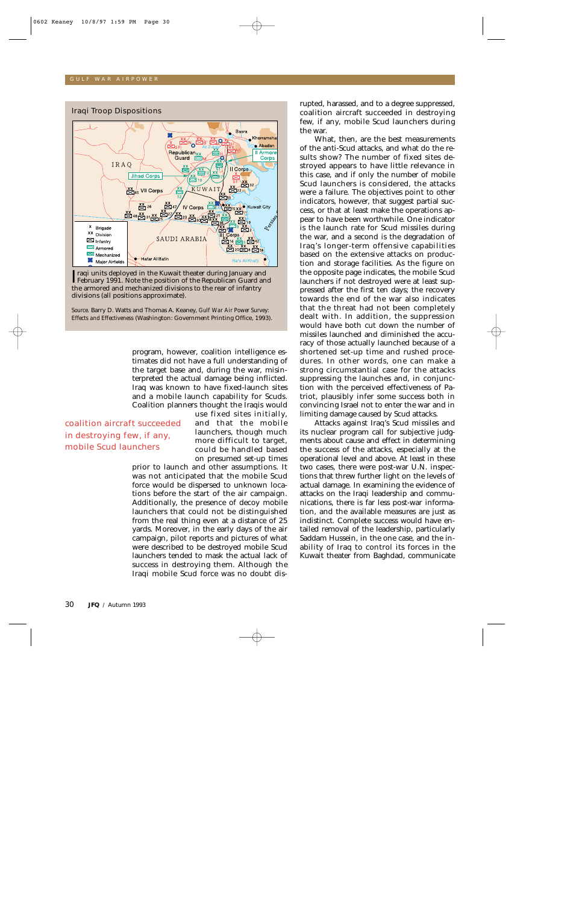

Iraqi units deployed in the Kuwait theater during January and<br>February 1991. Note the position of the Republican Guard an February 1991. Note the position of the Republican Guard and the armored and mechanized divisions to the rear of infantry divisions (all positions approximate).

*Source*. Barry D. Watts and Thomas A. Keaney, *Gulf War Air Power Survey: Effects and Effectiveness* (Washington: Government Printing Office, 1993).

> program, however, coalition intelligence estimates did not have a full understanding of the target base and, during the war, misinterpreted the actual damage being inflicted. Iraq was known to have fixed-launch sites and a mobile launch capability for Scuds. Coalition planners thought the Iraqis would

coalition aircraft succeeded in destroying few, if any, mobile Scud launchers

use fixed sites initially, and that the mobile launchers, though much more difficult to target, could be handled based on presumed set-up times

prior to launch and other assumptions. It was not anticipated that the mobile Scud force would be dispersed to unknown locations before the start of the air campaign. Additionally, the presence of decoy mobile launchers that could not be distinguished from the real thing even at a distance of 25 yards. Moreover, in the early days of the air campaign, pilot reports and pictures of what were described to be destroyed mobile Scud launchers tended to mask the actual lack of success in destroying them. Although the Iraqi mobile Scud force was no doubt disrupted, harassed, and to a degree suppressed, coalition aircraft succeeded in destroying few, if any, mobile Scud launchers during the war.

What, then, are the best measurements of the anti-Scud attacks, and what do the results show? The number of fixed sites destroyed appears to have little relevance in this case, and if only the number of mobile Scud launchers is considered, the attacks were a failure. The objectives point to other indicators, however, that suggest partial success, or that at least make the operations appear to have been worthwhile. One indicator is the launch rate for Scud missiles during the war, and a second is the degradation of Iraq's longer-term offensive capabilities based on the extensive attacks on production and storage facilities. As the figure on the opposite page indicates, the mobile Scud launchers if not destroyed were at least suppressed after the first ten days; the recovery towards the end of the war also indicates that the threat had not been completely dealt with. In addition, the suppression would have both cut down the number of missiles launched and diminished the accuracy of those actually launched because of a shortened set-up time and rushed procedures. In other words, one can make a strong circumstantial case for the attacks suppressing the launches and, in conjunction with the perceived effectiveness of Patriot, plausibly infer some success both in convincing Israel not to enter the war and in limiting damage caused by Scud attacks.

Attacks against Iraq's Scud missiles and its nuclear program call for subjective judgments about cause and effect in determining the success of the attacks, especially at the operational level and above. At least in these two cases, there were post-war U.N. inspections that threw further light on the levels of actual damage. In examining the evidence of attacks on the Iraqi leadership and communications, there is far less post-war information, and the available measures are just as indistinct. Complete success would have entailed removal of the leadership, particularly Saddam Hussein, in the one case, and the inability of Iraq to control its forces in the Kuwait theater from Baghdad, communicate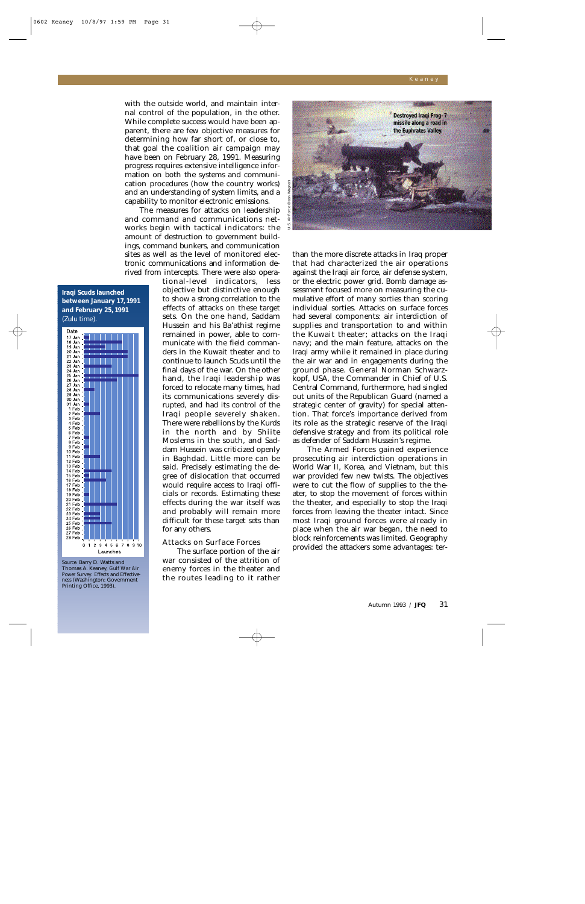with the outside world, and maintain internal control of the population, in the other. While complete success would have been apparent, there are few objective measures for determining how far short of, or close to, that goal the coalition air campaign may have been on February 28, 1991. Measuring progress requires extensive intelligence information on both the systems and communication procedures (how the country works) and an understanding of system limits, and a capability to monitor electronic emissions.

The measures for attacks on leadership and command and communications networks begin with tactical indicators: the amount of destruction to government buildings, command bunkers, and communication sites as well as the level of monitored electronic communications and information derived from intercepts. There were also opera-

# **Iraqi Scuds launched between January 17, 1991 and February 25, 1991**  (Zulu time).



*Source*. Barry D. Watts and Thomas A. Keaney, *Gulf War Air Power Survey: Effects and Effectiveness* (Washington: Government Printing Office, 1993).

tional-level indicators, less objective but distinctive enough to show a strong correlation to the effects of attacks on these target sets. On the one hand, Saddam Hussein and his Ba'athist regime remained in power, able to communicate with the field commanders in the Kuwait theater and to continue to launch Scuds until the final days of the war. On the other hand, the Iraqi leadership was forced to relocate many times, had its communications severely disrupted, and had its control of the Iraqi people severely shaken. There were rebellions by the Kurds in the north and by Shiite Moslems in the south, and Saddam Hussein was criticized openly in Baghdad. Little more can be said. Precisely estimating the degree of dislocation that occurred would require access to Iraqi officials or records. Estimating these effects during the war itself was and probably will remain more difficult for these target sets than for any others.

## Attacks on Surface Forces

The surface portion of the air war consisted of the attrition of enemy forces in the theater and the routes leading to it rather



than the more discrete attacks in Iraq proper that had characterized the air operations against the Iraqi air force, air defense system, or the electric power grid. Bomb damage assessment focused more on measuring the cumulative effort of many sorties than scoring individual sorties. Attacks on surface forces had several components: air interdiction of supplies and transportation to and within the Kuwait theater; attacks on the Iraqi navy; and the main feature, attacks on the Iraqi army while it remained in place during the air war and in engagements during the ground phase. General Norman Schwarzkopf, USA, the Commander in Chief of U.S. Central Command, furthermore, had singled out units of the Republican Guard (named a strategic center of gravity) for special attention. That force's importance derived from its role as the strategic reserve of the Iraqi defensive strategy and from its political role as defender of Saddam Hussein's regime.

The Armed Forces gained experience prosecuting air interdiction operations in World War II, Korea, and Vietnam, but this war provided few new twists. The objectives were to cut the flow of supplies to the theater, to stop the movement of forces within the theater, and especially to stop the Iraqi forces from leaving the theater intact. Since most Iraqi ground forces were already in place when the air war began, the need to block reinforcements was limited. Geography provided the attackers some advantages: ter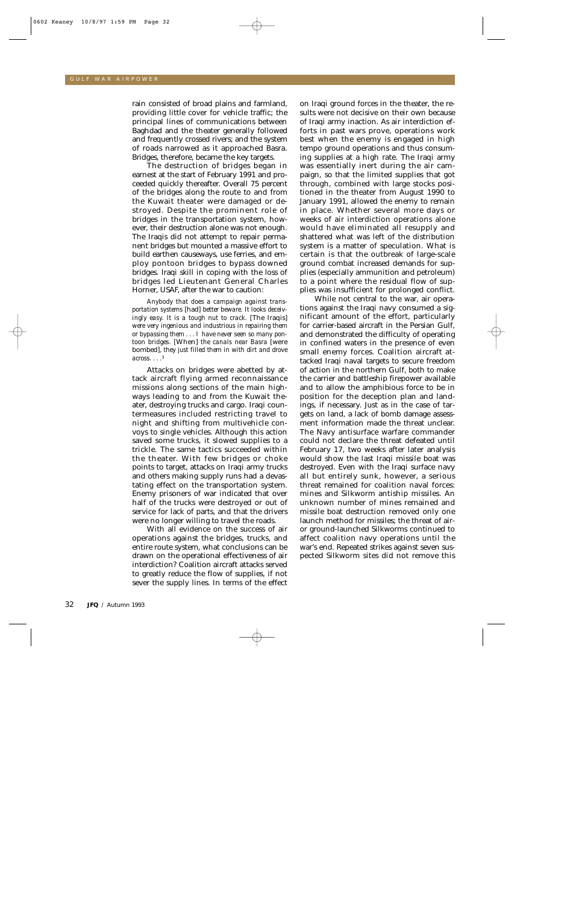rain consisted of broad plains and farmland, providing little cover for vehicle traffic; the principal lines of communications between Baghdad and the theater generally followed and frequently crossed rivers; and the system of roads narrowed as it approached Basra. Bridges, therefore, became the key targets.

The destruction of bridges began in earnest at the start of February 1991 and proceeded quickly thereafter. Overall 75 percent of the bridges along the route to and from the Kuwait theater were damaged or destroyed. Despite the prominent role of bridges in the transportation system, however, their destruction alone was not enough. The Iraqis did not attempt to repair permanent bridges but mounted a massive effort to build earthen causeways, use ferries, and employ pontoon bridges to bypass downed bridges. Iraqi skill in coping with the loss of bridges led Lieutenant General Charles Horner, USAF, after the war to caution:

*Anybody that does a campaign against transportation systems* [had] *better beware. It looks deceivingly easy. It is a tough nut to crack.* [The Iraqis] *were very ingenious and industrious in repairing them or bypassing them...I have never seen so many pontoon bridges*. [When] *the canals near Basra* [were bombed]*, they just filled them in with dirt and drove across... .* 3

Attacks on bridges were abetted by attack aircraft flying armed reconnaissance missions along sections of the main highways leading to and from the Kuwait theater, destroying trucks and cargo. Iraqi countermeasures included restricting travel to night and shifting from multivehicle convoys to single vehicles. Although this action saved some trucks, it slowed supplies to a trickle. The same tactics succeeded within the theater. With few bridges or choke points to target, attacks on Iraqi army trucks and others making supply runs had a devastating effect on the transportation system. Enemy prisoners of war indicated that over half of the trucks were destroyed or out of service for lack of parts, and that the drivers were no longer willing to travel the roads.

With all evidence on the success of air operations against the bridges, trucks, and entire route system, what conclusions can be drawn on the operational effectiveness of air interdiction? Coalition aircraft attacks served to greatly reduce the flow of supplies, if not sever the supply lines. In terms of the effect on Iraqi ground forces in the theater, the results were not decisive on their own because of Iraqi army inaction. As air interdiction efforts in past wars prove, operations work best when the enemy is engaged in high tempo ground operations and thus consuming supplies at a high rate. The Iraqi army was essentially inert during the air campaign, so that the limited supplies that got through, combined with large stocks positioned in the theater from August 1990 to January 1991, allowed the enemy to remain in place. Whether several more days or weeks of air interdiction operations alone would have eliminated all resupply and shattered what was left of the distribution system is a matter of speculation. What is certain is that the outbreak of large-scale ground combat increased demands for supplies (especially ammunition and petroleum) to a point where the residual flow of supplies was insufficient for prolonged conflict.

While not central to the war, air operations against the Iraqi navy consumed a significant amount of the effort, particularly for carrier-based aircraft in the Persian Gulf, and demonstrated the difficulty of operating in confined waters in the presence of even small enemy forces. Coalition aircraft attacked Iraqi naval targets to secure freedom of action in the northern Gulf, both to make the carrier and battleship firepower available and to allow the amphibious force to be in position for the deception plan and landings, if necessary. Just as in the case of targets on land, a lack of bomb damage assessment information made the threat unclear. The Navy antisurface warfare commander could not declare the threat defeated until February 17, two weeks after later analysis would show the last Iraqi missile boat was destroyed. Even with the Iraqi surface navy all but entirely sunk, however, a serious threat remained for coalition naval forces: mines and Silkworm antiship missiles. An unknown number of mines remained and missile boat destruction removed only one launch method for missiles; the threat of airor ground-launched Silkworms continued to affect coalition navy operations until the war's end. Repeated strikes against seven suspected Silkworm sites did not remove this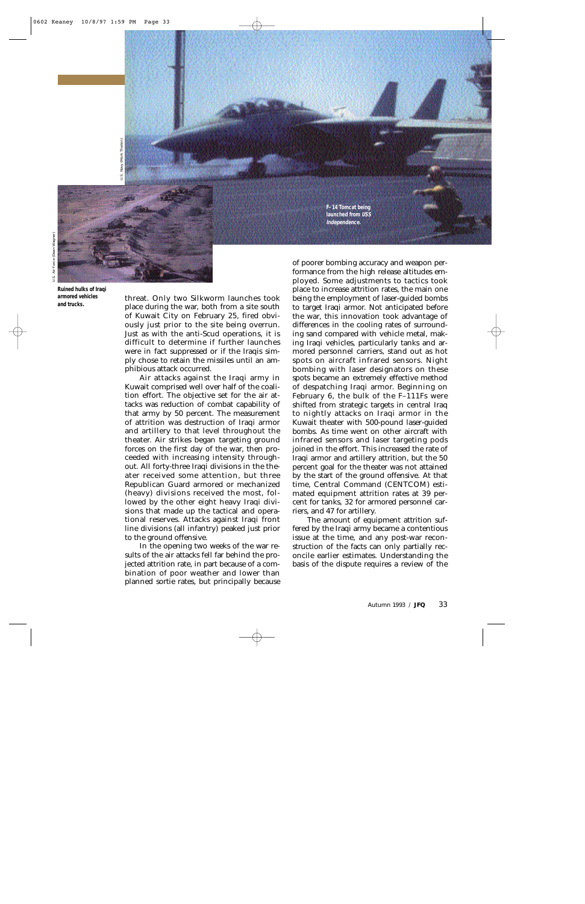U.S. Navy (Mark Therien)

ة<br>تا

Navy (Mark Therien

**Ruined hulks of Iraqi armored vehicles and trucks.**

threat. Only two Silkworm launches took place during the war, both from a site south of Kuwait City on February 25, fired obviously just prior to the site being overrun. Just as with the anti-Scud operations, it is difficult to determine if further launches were in fact suppressed or if the Iraqis simply chose to retain the missiles until an amphibious attack occurred.

Air attacks against the Iraqi army in Kuwait comprised well over half of the coalition effort. The objective set for the air attacks was reduction of combat capability of that army by 50 percent. The measurement of attrition was destruction of Iraqi armor and artillery to that level throughout the theater. Air strikes began targeting ground forces on the first day of the war, then proceeded with increasing intensity throughout. All forty-three Iraqi divisions in the theater received some attention, but three Republican Guard armored or mechanized (heavy) divisions received the most, followed by the other eight heavy Iraqi divisions that made up the tactical and operational reserves. Attacks against Iraqi front line divisions (all infantry) peaked just prior to the ground offensive.

In the opening two weeks of the war results of the air attacks fell far behind the projected attrition rate, in part because of a combination of poor weather and lower than planned sortie rates, but principally because

of poorer bombing accuracy and weapon performance from the high release altitudes employed. Some adjustments to tactics took place to increase attrition rates, the main one being the employment of laser-guided bombs to target Iraqi armor. Not anticipated before the war, this innovation took advantage of differences in the cooling rates of surrounding sand compared with vehicle metal, making Iraqi vehicles, particularly tanks and armored personnel carriers, stand out as hot spots on aircraft infrared sensors. Night bombing with laser designators on these spots became an extremely effective method of despatching Iraqi armor. Beginning on February 6, the bulk of the F–111Fs were shifted from strategic targets in central Iraq to nightly attacks on Iraqi armor in the Kuwait theater with 500-pound laser-guided bombs. As time went on other aircraft with infrared sensors and laser targeting pods joined in the effort. This increased the rate of Iraqi armor and artillery attrition, but the 50 percent goal for the theater was not attained by the start of the ground offensive. At that time, Central Command (CENTCOM) estimated equipment attrition rates at 39 percent for tanks, 32 for armored personnel carriers, and 47 for artillery.

**F–14 Tomcat being launched from USS Independence.**

Keaney

The amount of equipment attrition suffered by the Iraqi army became a contentious issue at the time, and any post-war reconstruction of the facts can only partially reconcile earlier estimates. Understanding the basis of the dispute requires a review of the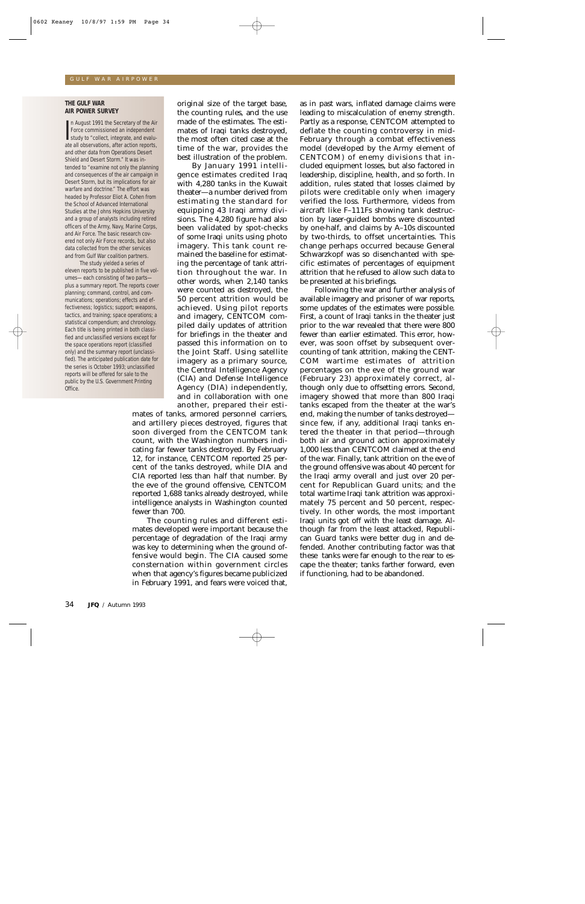#### **THE GULF WAR AIR POWER SURVEY**

In August 1991 the Secretary of the Air<br>Force commissioned an independent<br>study to "collect, integrate, and evalu-<br>ate all observations after action reports n August 1991 the Secretary of the Air Force commissioned an independent ate all observations, after action reports, and other data from Operations Desert Shield and Desert Storm." It was intended to "examine not only the planning and consequences of the air campaign in Desert Storm, but its implications for air warfare and doctrine." The effort was headed by Professor Eliot A. Cohen from the School of Advanced International Studies at the Johns Hopkins University and a group of analysts including retired officers of the Army, Navy, Marine Corps, and Air Force. The basic research covered not only Air Force records, but also data collected from the other services and from Gulf War coalition partners.

The study yielded a series of eleven reports to be published in five volumes—each consisting of two parts plus a summary report. The reports cover planning; command, control, and communications; operations; effects and effectiveness; logistics; support; weapons, tactics, and training; space operations; a statistical compendium; and chronology. Each title is being printed in both classified and unclassified versions except for the space operations report (classified only) and the summary report (unclassified). The anticipated publication date for the series is October 1993; unclassified reports will be offered for sale to the public by the U.S. Government Printing Office.

original size of the target base, the counting rules, and the use made of the estimates. The estimates of Iraqi tanks destroyed, the most often cited case at the time of the war, provides the best illustration of the problem.

By January 1991 intelligence estimates credited Iraq with 4,280 tanks in the Kuwait theater—a number derived from estimating the standard for equipping 43 Iraqi army divisions. The 4,280 figure had also been validated by spot-checks of some Iraqi units using photo imagery. This tank count remained the baseline for estimating the percentage of tank attrition throughout the war. In other words, when 2,140 tanks were counted as destroyed, the 50 percent attrition would be achieved. Using pilot reports and imagery, CENTCOM compiled daily updates of attrition for briefings in the theater and passed this information on to the Joint Staff. Using satellite imagery as a primary source, the Central Intelligence Agency (CIA) and Defense Intelligence Agency (DIA) independently, and in collaboration with one another, prepared their esti-

mates of tanks, armored personnel carriers, and artillery pieces destroyed, figures that soon diverged from the CENTCOM tank count, with the Washington numbers indicating far fewer tanks destroyed. By February 12, for instance, CENTCOM reported 25 percent of the tanks destroyed, while DIA and CIA reported less than half that number. By the eve of the ground offensive, CENTCOM reported 1,688 tanks already destroyed, while intelligence analysts in Washington counted fewer than 700.

The counting rules and different estimates developed were important because the percentage of degradation of the Iraqi army was key to determining when the ground offensive would begin. The CIA caused some consternation within government circles when that agency's figures became publicized in February 1991, and fears were voiced that,

as in past wars, inflated damage claims were leading to miscalculation of enemy strength. Partly as a response, CENTCOM attempted to deflate the counting controversy in mid-February through a combat effectiveness model (developed by the Army element of CENTCOM) of enemy divisions that included equipment losses, but also factored in leadership, discipline, health, and so forth. In addition, rules stated that losses claimed by pilots were creditable only when imagery verified the loss. Furthermore, videos from aircraft like F–111Fs showing tank destruction by laser-guided bombs were discounted by one-half, and claims by A–10s discounted by two-thirds, to offset uncertainties. This change perhaps occurred because General Schwarzkopf was so disenchanted with specific estimates of percentages of equipment attrition that he refused to allow such data to be presented at his briefings.

Following the war and further analysis of available imagery and prisoner of war reports, some updates of the estimates were possible. First, a count of Iraqi tanks in the theater just prior to the war revealed that there were 800 fewer than earlier estimated. This error, however, was soon offset by subsequent overcounting of tank attrition, making the CENT-COM wartime estimates of attrition percentages on the eve of the ground war (February 23) approximately correct, although only due to offsetting errors. Second, imagery showed that more than 800 Iraqi tanks escaped from the theater at the war's end, making the number of tanks destroyed since few, if any, additional Iraqi tanks entered the theater in that period—through both air and ground action approximately 1,000 less than CENTCOM claimed at the end of the war. Finally, tank attrition on the eve of the ground offensive was about 40 percent for the Iraqi army overall and just over 20 percent for Republican Guard units; and the total wartime Iraqi tank attrition was approximately 75 percent and 50 percent, respectively. In other words, the most important Iraqi units got off with the least damage. Although far from the least attacked, Republican Guard tanks were better dug in and defended. Another contributing factor was that these tanks were far enough to the rear to escape the theater; tanks farther forward, even if functioning, had to be abandoned.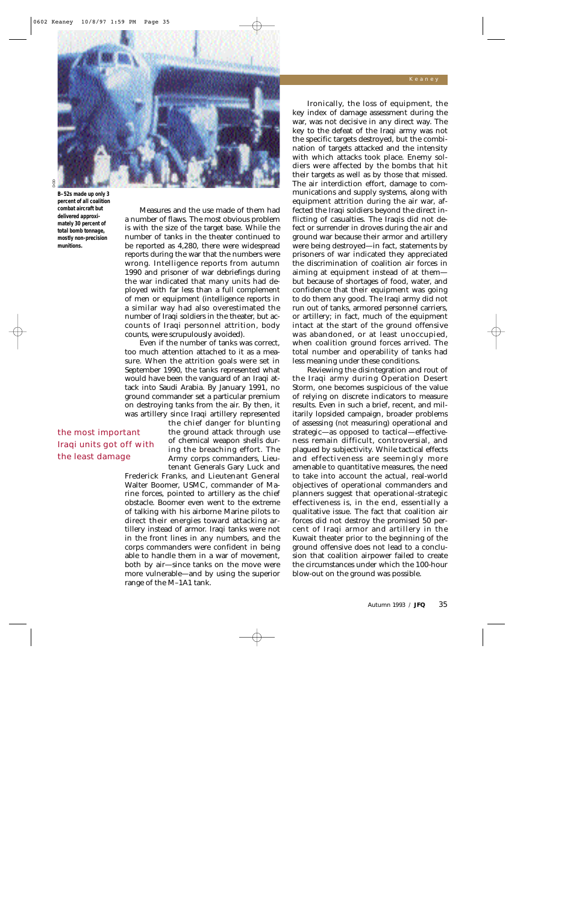

**B–52s made up only 3 percent of all coalition combat aircraft but delivered approximately 30 percent of total bomb tonnage, mostly non-precision munitions.**

the most important Iraqi units got off with

the least damage

Measures and the use made of them had a number of flaws. The most obvious problem is with the size of the target base. While the number of tanks in the theater continued to be reported as 4,280, there were widespread reports during the war that the numbers were wrong. Intelligence reports from autumn 1990 and prisoner of war debriefings during the war indicated that many units had deployed with far less than a full complement of men or equipment (intelligence reports in a similar way had also overestimated the number of Iraqi soldiers in the theater, but accounts of Iraqi personnel attrition, body counts, were scrupulously avoided).

Even if the number of tanks was correct, too much attention attached to it as a measure. When the attrition goals were set in September 1990, the tanks represented what would have been the vanguard of an Iraqi attack into Saudi Arabia. By January 1991, no ground commander set a particular premium on destroying tanks from the air. By then, it was artillery since Iraqi artillery represented

> the chief danger for blunting the ground attack through use of chemical weapon shells during the breaching effort. The Army corps commanders, Lieutenant Generals Gary Luck and

Frederick Franks, and Lieutenant General Walter Boomer, USMC, commander of Marine forces, pointed to artillery as the chief obstacle. Boomer even went to the extreme of talking with his airborne Marine pilots to direct their energies toward attacking artillery instead of armor. Iraqi tanks were not in the front lines in any numbers, and the corps commanders were confident in being able to handle them in a war of movement, both by air—since tanks on the move were more vulnerable—and by using the superior range of the M–1A1 tank.

Ironically, the loss of equipment, the key index of damage assessment during the war, was not decisive in any direct way. The key to the defeat of the Iraqi army was not the specific targets destroyed, but the combination of targets attacked and the intensity with which attacks took place. Enemy soldiers were affected by the bombs that hit their targets as well as by those that missed. The air interdiction effort, damage to communications and supply systems, along with equipment attrition during the air war, affected the Iraqi soldiers beyond the direct inflicting of casualties. The Iraqis did not defect or surrender in droves during the air and ground war because their armor and artillery were being destroyed—in fact, statements by prisoners of war indicated they appreciated the discrimination of coalition air forces in aiming at equipment instead of at them but because of shortages of food, water, and confidence that their equipment was going to do them any good. The Iraqi army did not run out of tanks, armored personnel carriers, or artillery; in fact, much of the equipment intact at the start of the ground offensive was abandoned, or at least unoccupied, when coalition ground forces arrived. The total number and operability of tanks had less meaning under these conditions.

Reviewing the disintegration and rout of the Iraqi army during Operation Desert Storm, one becomes suspicious of the value of relying on discrete indicators to measure results. Even in such a brief, recent, and militarily lopsided campaign, broader problems of assessing (*not* measuring) operational and strategic—as opposed to tactical—effectiveness remain difficult, controversial, and plagued by subjectivity. While tactical effects and effectiveness are seemingly more amenable to quantitative measures, the need to take into account the actual, real-world objectives of operational commanders and planners suggest that operational-strategic effectiveness is, in the end, essentially a qualitative issue. The fact that coalition air forces did not destroy the promised 50 percent of Iraqi armor and artillery in the Kuwait theater prior to the beginning of the ground offensive does not lead to a conclusion that coalition airpower failed to create the circumstances under which the 100-hour blow-out on the ground was possible.